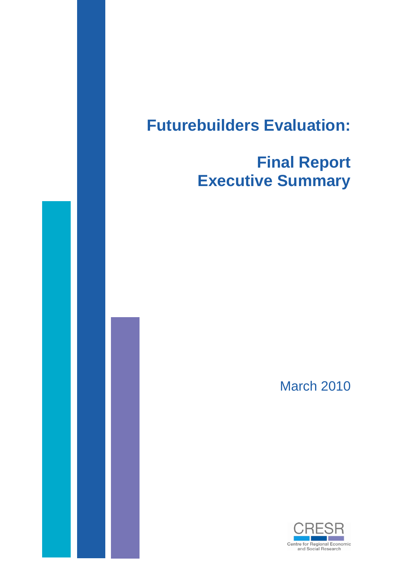# **Futurebuilders Evaluation:**

## **Final Report Executive Summary**

March 2010

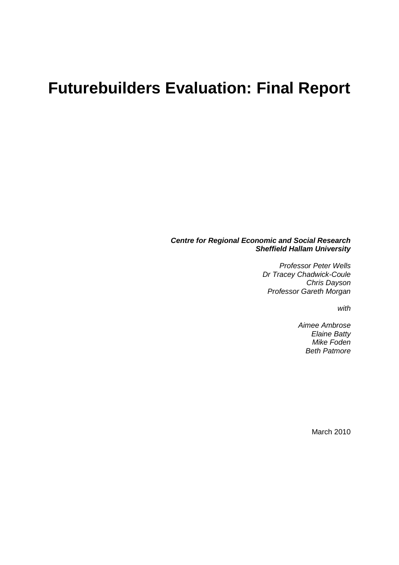### **Futurebuilders Evaluation: Final Report**

#### *Centre for Regional Economic and Social Research Sheffield Hallam University*

*Professor Peter Wells Dr Tracey Chadwick-Coule Chris Dayson Professor Gareth Morgan*

*with*

*Aimee Ambrose Elaine Batty Mike Foden Beth Patmore*

March 2010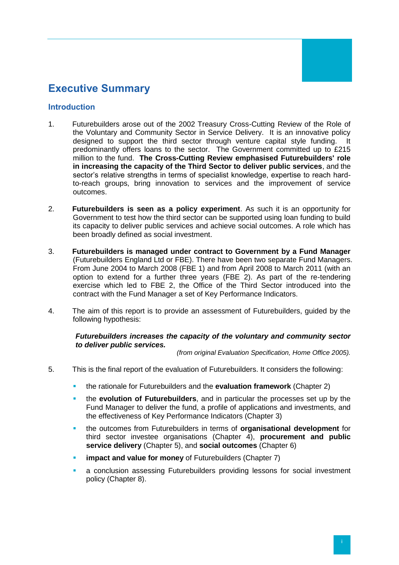### **Executive Summary**

#### **Introduction**

- 1. Futurebuilders arose out of the 2002 Treasury Cross-Cutting Review of the Role of the Voluntary and Community Sector in Service Delivery. It is an innovative policy designed to support the third sector through venture capital style funding. It predominantly offers loans to the sector. The Government committed up to £215 million to the fund. **The Cross-Cutting Review emphasised Futurebuilders' role in increasing the capacity of the Third Sector to deliver public services**, and the sector's relative strengths in terms of specialist knowledge, expertise to reach hardto-reach groups, bring innovation to services and the improvement of service outcomes.
- 2. **Futurebuilders is seen as a policy experiment**. As such it is an opportunity for Government to test how the third sector can be supported using loan funding to build its capacity to deliver public services and achieve social outcomes. A role which has been broadly defined as social investment.
- 3. **Futurebuilders is managed under contract to Government by a Fund Manager** (Futurebuilders England Ltd or FBE). There have been two separate Fund Managers. From June 2004 to March 2008 (FBE 1) and from April 2008 to March 2011 (with an option to extend for a further three years (FBE 2). As part of the re-tendering exercise which led to FBE 2, the Office of the Third Sector introduced into the contract with the Fund Manager a set of Key Performance Indicators.
- 4. The aim of this report is to provide an assessment of Futurebuilders, guided by the following hypothesis:

#### *Futurebuilders increases the capacity of the voluntary and community sector to deliver public services.*

*(from original Evaluation Specification, Home Office 2005).* 

- 5. This is the final report of the evaluation of Futurebuilders. It considers the following:
	- the rationale for Futurebuilders and the **evaluation framework** (Chapter 2)
	- the **evolution of Futurebuilders**, and in particular the processes set up by the Fund Manager to deliver the fund, a profile of applications and investments, and the effectiveness of Key Performance Indicators (Chapter 3)
	- the outcomes from Futurebuilders in terms of **organisational development** for third sector investee organisations (Chapter 4), **procurement and public service delivery** (Chapter 5), and **social outcomes** (Chapter 6)
	- **impact and value for money** of Futurebuilders (Chapter 7)
	- a conclusion assessing Futurebuilders providing lessons for social investment policy (Chapter 8).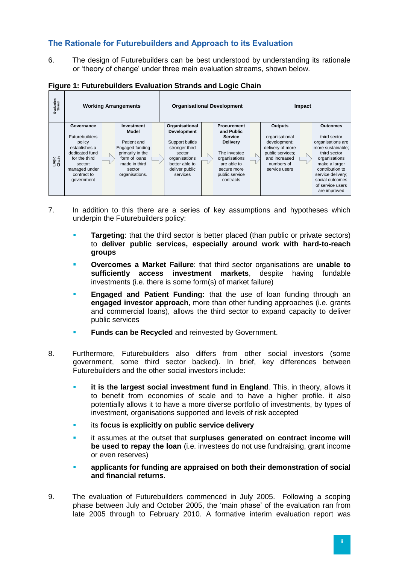### **The Rationale for Futurebuilders and Approach to its Evaluation**

6. The design of Futurebuilders can be best understood by understanding its rationale or 'theory of change' under three main evaluation streams, shown below.

| Figure 1: Futurebuilders Evaluation Strands and Logic Chain |  |  |  |  |  |
|-------------------------------------------------------------|--|--|--|--|--|
|-------------------------------------------------------------|--|--|--|--|--|



- 7. In addition to this there are a series of key assumptions and hypotheses which underpin the Futurebuilders policy:
	- **Targeting**: that the third sector is better placed (than public or private sectors) to **deliver public services, especially around work with hard-to-reach groups**
	- **Overcomes a Market Failure**: that third sector organisations are **unable to sufficiently access investment markets**, despite having fundable investments (i.e. there is some form(s) of market failure)
	- **Engaged and Patient Funding:** that the use of loan funding through an **engaged investor approach**, more than other funding approaches (i.e. grants and commercial loans), allows the third sector to expand capacity to deliver public services
	- **Funds can be Recycled** and reinvested by Government.
- 8. Furthermore, Futurebuilders also differs from other social investors (some government, some third sector backed). In brief, key differences between Futurebuilders and the other social investors include:
	- **it is the largest social investment fund in England**. This, in theory, allows it to benefit from economies of scale and to have a higher profile. it also potentially allows it to have a more diverse portfolio of investments, by types of investment, organisations supported and levels of risk accepted
	- **ied its focus is explicitly on public service delivery**
	- it assumes at the outset that **surpluses generated on contract income will be used to repay the loan** (i.e. investees do not use fundraising, grant income or even reserves)
	- **applicants for funding are appraised on both their demonstration of social and financial returns**.
- 9. The evaluation of Futurebuilders commenced in July 2005. Following a scoping phase between July and October 2005, the 'main phase' of the evaluation ran from late 2005 through to February 2010. A formative interim evaluation report was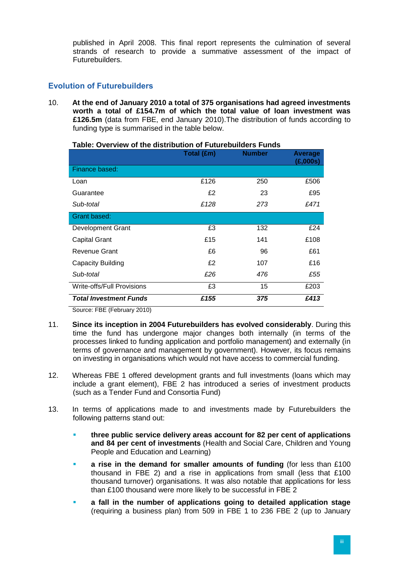published in April 2008. This final report represents the culmination of several strands of research to provide a summative assessment of the impact of Futurebuilders.

#### **Evolution of Futurebuilders**

10. **At the end of January 2010 a total of 375 organisations had agreed investments worth a total of £154.7m of which the total value of loan investment was £126.5m** (data from FBE, end January 2010).The distribution of funds according to funding type is summarised in the table below.

|                               | Total (£m) | <b>Number</b> | Average<br>(£,000s) |
|-------------------------------|------------|---------------|---------------------|
| Finance based:                |            |               |                     |
| Loan                          | £126       | 250           | £506                |
| Guarantee                     | £2         | 23            | £95                 |
| Sub-total                     | £128       | 273           | £471                |
| Grant based:                  |            |               |                     |
| <b>Development Grant</b>      | £3         | 132           | £24                 |
| <b>Capital Grant</b>          | £15        | 141           | £108                |
| Revenue Grant                 | £6         | 96            | £61                 |
| Capacity Building             | £2         | 107           | £16                 |
| Sub-total                     | £26        | 476           | £55                 |
| Write-offs/Full Provisions    | £3         | 15            | £203                |
| <b>Total Investment Funds</b> | £155       | 375           | £413                |

**Table: Overview of the distribution of Futurebuilders Funds**

Source: FBE (February 2010)

- 11. **Since its inception in 2004 Futurebuilders has evolved considerably**. During this time the fund has undergone major changes both internally (in terms of the processes linked to funding application and portfolio management) and externally (in terms of governance and management by government). However, its focus remains on investing in organisations which would not have access to commercial funding.
- 12. Whereas FBE 1 offered development grants and full investments (loans which may include a grant element), FBE 2 has introduced a series of investment products (such as a Tender Fund and Consortia Fund)
- 13. In terms of applications made to and investments made by Futurebuilders the following patterns stand out:
	- **three public service delivery areas account for 82 per cent of applications and 84 per cent of investments** (Health and Social Care, Children and Young People and Education and Learning)
	- **a rise in the demand for smaller amounts of funding** (for less than £100 thousand in FBE 2) and a rise in applications from small (less that £100 thousand turnover) organisations. It was also notable that applications for less than £100 thousand were more likely to be successful in FBE 2
	- **a fall in the number of applications going to detailed application stage** (requiring a business plan) from 509 in FBE 1 to 236 FBE 2 (up to January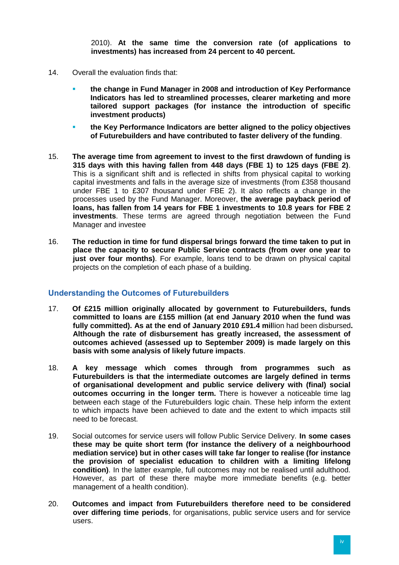2010). **At the same time the conversion rate (of applications to investments) has increased from 24 percent to 40 percent.** 

- 14. Overall the evaluation finds that:
	- **the change in Fund Manager in 2008 and introduction of Key Performance Indicators has led to streamlined processes, clearer marketing and more tailored support packages (for instance the introduction of specific investment products)**
	- **the Key Performance Indicators are better aligned to the policy objectives of Futurebuilders and have contributed to faster delivery of the funding**.
- 15. **The average time from agreement to invest to the first drawdown of funding is 315 days with this having fallen from 448 days (FBE 1) to 125 days (FBE 2)**. This is a significant shift and is reflected in shifts from physical capital to working capital investments and falls in the average size of investments (from £358 thousand under FBE 1 to £307 thousand under FBE 2). It also reflects a change in the processes used by the Fund Manager. Moreover, **the average payback period of loans, has fallen from 14 years for FBE 1 investments to 10.8 years for FBE 2 investments**. These terms are agreed through negotiation between the Fund Manager and investee
- 16. **The reduction in time for fund dispersal brings forward the time taken to put in place the capacity to secure Public Service contracts (from over one year to just over four months)**. For example, loans tend to be drawn on physical capital projects on the completion of each phase of a building.

#### **Understanding the Outcomes of Futurebuilders**

- 17. **Of £215 million originally allocated by government to Futurebuilders, funds committed to loans are £155 million (at end January 2010 when the fund was fully committed). As at the end of January 2010 £91.4 mil**lion had been disbursed**. Although the rate of disbursement has greatly increased, the assessment of outcomes achieved (assessed up to September 2009) is made largely on this basis with some analysis of likely future impacts**.
- 18. **A key message which comes through from programmes such as Futurebuilders is that the intermediate outcomes are largely defined in terms of organisational development and public service delivery with (final) social outcomes occurring in the longer term.** There is however a noticeable time lag between each stage of the Futurebuilders logic chain. These help inform the extent to which impacts have been achieved to date and the extent to which impacts still need to be forecast.
- 19. Social outcomes for service users will follow Public Service Delivery. **In some cases these may be quite short term (for instance the delivery of a neighbourhood mediation service) but in other cases will take far longer to realise (for instance the provision of specialist education to children with a limiting lifelong condition)**. In the latter example, full outcomes may not be realised until adulthood. However, as part of these there maybe more immediate benefits (e.g. better management of a health condition).
- 20. **Outcomes and impact from Futurebuilders therefore need to be considered over differing time periods**, for organisations, public service users and for service users.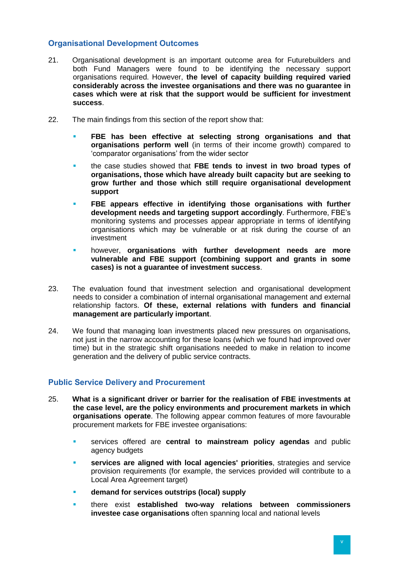#### **Organisational Development Outcomes**

- 21. Organisational development is an important outcome area for Futurebuilders and both Fund Managers were found to be identifying the necessary support organisations required. However, **the level of capacity building required varied considerably across the investee organisations and there was no guarantee in cases which were at risk that the support would be sufficient for investment success**.
- 22. The main findings from this section of the report show that:
	- **FBE has been effective at selecting strong organisations and that organisations perform well** (in terms of their income growth) compared to 'comparator organisations' from the wider sector
	- the case studies showed that **FBE tends to invest in two broad types of organisations, those which have already built capacity but are seeking to grow further and those which still require organisational development support**
	- **FBE appears effective in identifying those organisations with further development needs and targeting support accordingly**. Furthermore, FBE's monitoring systems and processes appear appropriate in terms of identifying organisations which may be vulnerable or at risk during the course of an investment
	- however, **organisations with further development needs are more vulnerable and FBE support (combining support and grants in some cases) is not a guarantee of investment success**.
- 23. The evaluation found that investment selection and organisational development needs to consider a combination of internal organisational management and external relationship factors. **Of these, external relations with funders and financial management are particularly important**.
- 24. We found that managing loan investments placed new pressures on organisations, not just in the narrow accounting for these loans (which we found had improved over time) but in the strategic shift organisations needed to make in relation to income generation and the delivery of public service contracts.

#### **Public Service Delivery and Procurement**

- 25. **What is a significant driver or barrier for the realisation of FBE investments at the case level, are the policy environments and procurement markets in which organisations operate**. The following appear common features of more favourable procurement markets for FBE investee organisations:
	- services offered are **central to mainstream policy agendas** and public agency budgets
	- **services are aligned with local agencies' priorities**, strategies and service provision requirements (for example, the services provided will contribute to a Local Area Agreement target)
	- **demand for services outstrips (local) supply**
	- there exist **established two-way relations between commissioners investee case organisations** often spanning local and national levels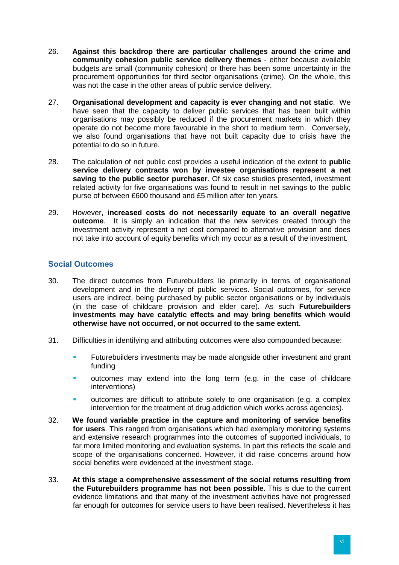- 26. **Against this backdrop there are particular challenges around the crime and community cohesion public service delivery themes** - either because available budgets are small (community cohesion) or there has been some uncertainty in the procurement opportunities for third sector organisations (crime). On the whole, this was not the case in the other areas of public service delivery.
- 27. **Organisational development and capacity is ever changing and not static**. We have seen that the capacity to deliver public services that has been built within organisations may possibly be reduced if the procurement markets in which they operate do not become more favourable in the short to medium term. Conversely, we also found organisations that have not built capacity due to crisis have the potential to do so in future.
- 28. The calculation of net public cost provides a useful indication of the extent to **public service delivery contracts won by investee organisations represent a net saving to the public sector purchaser**. Of six case studies presented, investment related activity for five organisations was found to result in net savings to the public purse of between £600 thousand and £5 million after ten years.
- 29. However, **increased costs do not necessarily equate to an overall negative outcome**. It is simply an indication that the new services created through the investment activity represent a net cost compared to alternative provision and does not take into account of equity benefits which my occur as a result of the investment.

#### **Social Outcomes**

- 30. The direct outcomes from Futurebuilders lie primarily in terms of organisational development and in the delivery of public services. Social outcomes, for service users are indirect, being purchased by public sector organisations or by individuals (in the case of childcare provision and elder care). As such **Futurebuilders investments may have catalytic effects and may bring benefits which would otherwise have not occurred, or not occurred to the same extent.**
- 31. Difficulties in identifying and attributing outcomes were also compounded because:
	- Futurebuilders investments may be made alongside other investment and grant funding
	- outcomes may extend into the long term (e.g. in the case of childcare interventions)
	- outcomes are difficult to attribute solely to one organisation (e.g. a complex intervention for the treatment of drug addiction which works across agencies).
- 32. **We found variable practice in the capture and monitoring of service benefits for users**. This ranged from organisations which had exemplary monitoring systems and extensive research programmes into the outcomes of supported individuals, to far more limited monitoring and evaluation systems. In part this reflects the scale and scope of the organisations concerned. However, it did raise concerns around how social benefits were evidenced at the investment stage.
- 33. **At this stage a comprehensive assessment of the social returns resulting from the Futurebuilders programme has not been possible**. This is due to the current evidence limitations and that many of the investment activities have not progressed far enough for outcomes for service users to have been realised. Nevertheless it has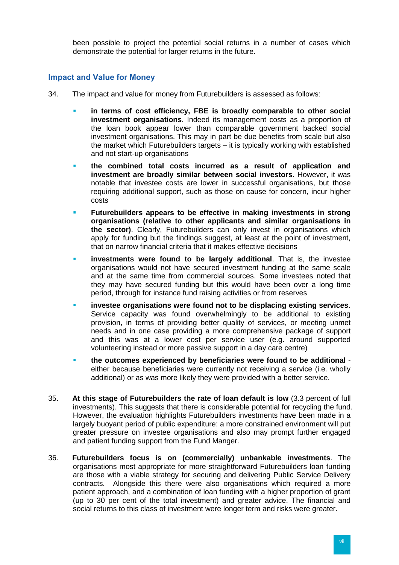been possible to project the potential social returns in a number of cases which demonstrate the potential for larger returns in the future.

#### **Impact and Value for Money**

- 34. The impact and value for money from Futurebuilders is assessed as follows:
	- **in terms of cost efficiency, FBE is broadly comparable to other social investment organisations**. Indeed its management costs as a proportion of the loan book appear lower than comparable government backed social investment organisations. This may in part be due benefits from scale but also the market which Futurebuilders targets – it is typically working with established and not start-up organisations
	- **the combined total costs incurred as a result of application and investment are broadly similar between social investors**. However, it was notable that investee costs are lower in successful organisations, but those requiring additional support, such as those on cause for concern, incur higher costs
	- **Futurebuilders appears to be effective in making investments in strong organisations (relative to other applicants and similar organisations in the sector)**. Clearly, Futurebuilders can only invest in organisations which apply for funding but the findings suggest, at least at the point of investment, that on narrow financial criteria that it makes effective decisions
	- **investments were found to be largely additional**. That is, the investee organisations would not have secured investment funding at the same scale and at the same time from commercial sources. Some investees noted that they may have secured funding but this would have been over a long time period, through for instance fund raising activities or from reserves
	- **investee organisations were found not to be displacing existing services**. Service capacity was found overwhelmingly to be additional to existing provision, in terms of providing better quality of services, or meeting unmet needs and in one case providing a more comprehensive package of support and this was at a lower cost per service user (e.g. around supported volunteering instead or more passive support in a day care centre)
	- **the outcomes experienced by beneficiaries were found to be additional** either because beneficiaries were currently not receiving a service (i.e. wholly additional) or as was more likely they were provided with a better service.
- 35. **At this stage of Futurebuilders the rate of loan default is low** (3.3 percent of full investments). This suggests that there is considerable potential for recycling the fund. However, the evaluation highlights Futurebuilders investments have been made in a largely buoyant period of public expenditure: a more constrained environment will put greater pressure on investee organisations and also may prompt further engaged and patient funding support from the Fund Manger.
- 36. **Futurebuilders focus is on (commercially) unbankable investments**. The organisations most appropriate for more straightforward Futurebuilders loan funding are those with a viable strategy for securing and delivering Public Service Delivery contracts. Alongside this there were also organisations which required a more patient approach, and a combination of loan funding with a higher proportion of grant (up to 30 per cent of the total investment) and greater advice. The financial and social returns to this class of investment were longer term and risks were greater.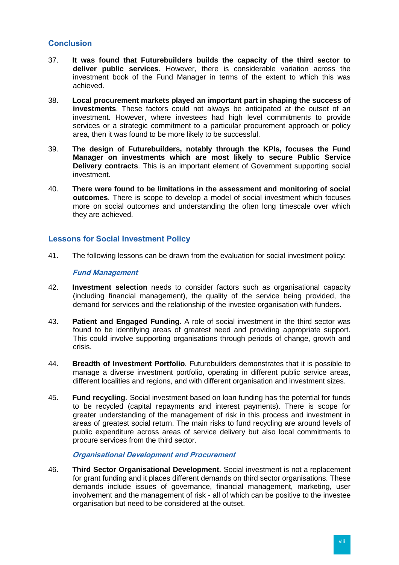#### **Conclusion**

- 37. **It was found that Futurebuilders builds the capacity of the third sector to deliver public services**. However, there is considerable variation across the investment book of the Fund Manager in terms of the extent to which this was achieved.
- 38. **Local procurement markets played an important part in shaping the success of investments**. These factors could not always be anticipated at the outset of an investment. However, where investees had high level commitments to provide services or a strategic commitment to a particular procurement approach or policy area, then it was found to be more likely to be successful.
- 39. **The design of Futurebuilders, notably through the KPIs, focuses the Fund Manager on investments which are most likely to secure Public Service Delivery contracts**. This is an important element of Government supporting social investment.
- 40. **There were found to be limitations in the assessment and monitoring of social outcomes**. There is scope to develop a model of social investment which focuses more on social outcomes and understanding the often long timescale over which they are achieved.

#### **Lessons for Social Investment Policy**

41. The following lessons can be drawn from the evaluation for social investment policy:

#### **Fund Management**

- 42. **Investment selection** needs to consider factors such as organisational capacity (including financial management), the quality of the service being provided, the demand for services and the relationship of the investee organisation with funders.
- 43. **Patient and Engaged Funding**. A role of social investment in the third sector was found to be identifying areas of greatest need and providing appropriate support. This could involve supporting organisations through periods of change, growth and crisis.
- 44. **Breadth of Investment Portfolio**. Futurebuilders demonstrates that it is possible to manage a diverse investment portfolio, operating in different public service areas, different localities and regions, and with different organisation and investment sizes.
- 45. **Fund recycling**. Social investment based on loan funding has the potential for funds to be recycled (capital repayments and interest payments). There is scope for greater understanding of the management of risk in this process and investment in areas of greatest social return. The main risks to fund recycling are around levels of public expenditure across areas of service delivery but also local commitments to procure services from the third sector.

#### **Organisational Development and Procurement**

46. **Third Sector Organisational Development.** Social investment is not a replacement for grant funding and it places different demands on third sector organisations. These demands include issues of governance, financial management, marketing, user involvement and the management of risk - all of which can be positive to the investee organisation but need to be considered at the outset.